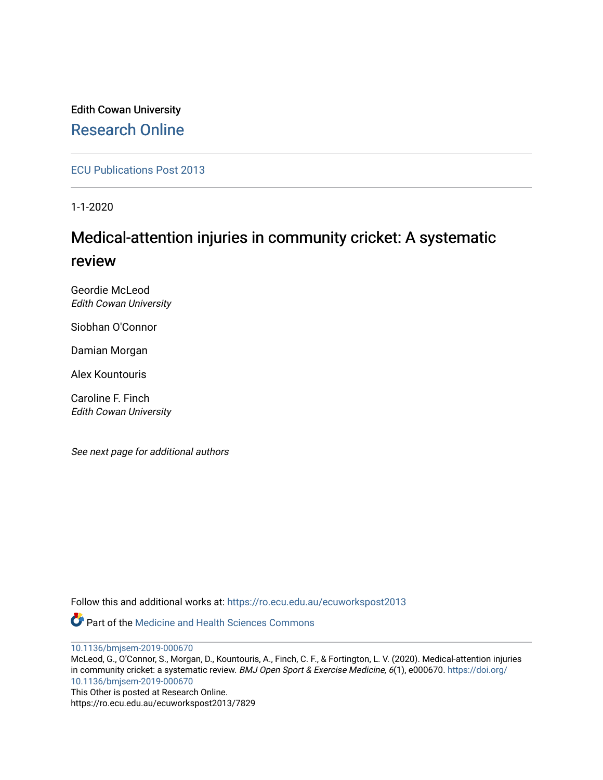## Edith Cowan University [Research Online](https://ro.ecu.edu.au/)

[ECU Publications Post 2013](https://ro.ecu.edu.au/ecuworkspost2013)

1-1-2020

## Medical-attention injuries in community cricket: A systematic review

Geordie McLeod Edith Cowan University

Siobhan O'Connor

Damian Morgan

Alex Kountouris

Caroline F. Finch Edith Cowan University

See next page for additional authors

Follow this and additional works at: [https://ro.ecu.edu.au/ecuworkspost2013](https://ro.ecu.edu.au/ecuworkspost2013?utm_source=ro.ecu.edu.au%2Fecuworkspost2013%2F7829&utm_medium=PDF&utm_campaign=PDFCoverPages) 

**C** Part of the Medicine and Health Sciences Commons

[10.1136/bmjsem-2019-000670](http://dx.doi.org/10.1136/bmjsem-2019-000670)

McLeod, G., O'Connor, S., Morgan, D., Kountouris, A., Finch, C. F., & Fortington, L. V. (2020). Medical-attention injuries in community cricket: a systematic review. BMJ Open Sport & Exercise Medicine, 6(1), e000670. [https://doi.org/](https://doi.org/10.1136/bmjsem-2019-000670) [10.1136/bmjsem-2019-000670](https://doi.org/10.1136/bmjsem-2019-000670) This Other is posted at Research Online.

https://ro.ecu.edu.au/ecuworkspost2013/7829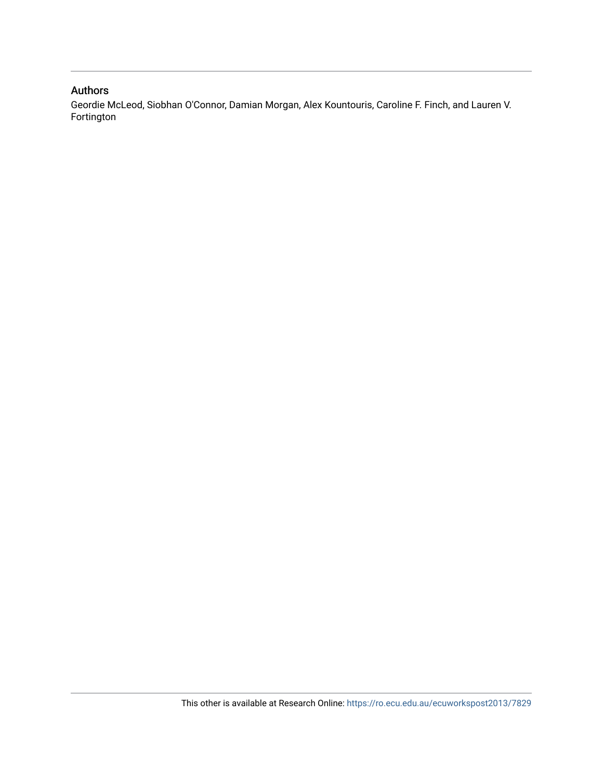#### Authors

Geordie McLeod, Siobhan O'Connor, Damian Morgan, Alex Kountouris, Caroline F. Finch, and Lauren V. Fortington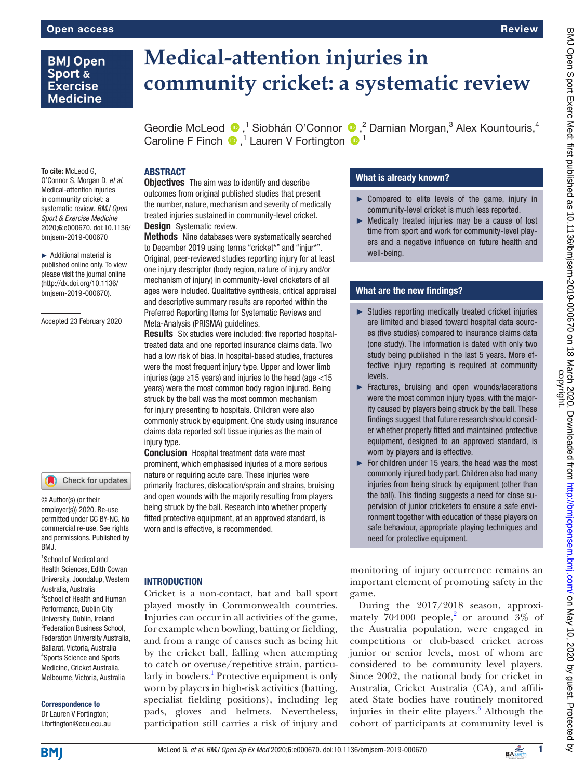### **BMJ Open** Sport & **Exercise Medicine**

# **Medical-attention injuries in community cricket: a systematic review**

GeordieMcLeod <sup>®</sup>,<sup>1</sup> Siobhán O'Connor <sup>®</sup>,<sup>2</sup> Damian Morgan,<sup>3</sup> Alex Kountouris,<sup>4</sup> Caroline F Finch  $\bigcirc$ ,<sup>1</sup> Lauren V Fortington  $\bigcirc$ <sup>1</sup>

To cite: McLeod G, O'Connor S, Morgan D, *et al*. Medical-attention injuries in community cricket: a systematic review. *BMJ Open Sport & Exercise Medicine* 2020;6:e000670. doi:10.1136/ bmjsem-2019-000670

► Additional material is published online only. To view please visit the journal online (http://dx.doi.org/10.1136/ bmjsem-2019-000670).

Accepted 23 February 2020

#### Check for updates

© Author(s) (or their employer(s)) 2020. Re-use permitted under CC BY-NC. No commercial re-use. See rights and permissions. Published by BMJ.

1 School of Medical and Health Sciences, Edith Cowan University, Joondalup, Western Australia, Australia 2 School of Health and Human Performance, Dublin City University, Dublin, Ireland 3 Federation Business School, Federation University Australia, Ballarat, Victoria, Australia 4 Sports Science and Sports Medicine, Cricket Australia, Melbourne, Victoria, Australia

Correspondence to Dr Lauren V Fortington;

l.fortington@ecu.ecu.au

#### **ABSTRACT**

**Objectives** The aim was to identify and describe outcomes from original published studies that present the number, nature, mechanism and severity of medically treated injuries sustained in community-level cricket. **Design** Systematic review.

Methods Nine databases were systematically searched to December 2019 using terms "cricket\*" and "injur\*". Original, peer-reviewed studies reporting injury for at least one injury descriptor (body region, nature of injury and/or mechanism of injury) in community-level cricketers of all ages were included. Qualitative synthesis, critical appraisal and descriptive summary results are reported within the Preferred Reporting Items for Systematic Reviews and Meta-Analysis (PRISMA) guidelines.

Results Six studies were included: five reported hospitaltreated data and one reported insurance claims data. Two had a low risk of bias. In hospital-based studies, fractures were the most frequent injury type. Upper and lower limb injuries (age  $\geq$ 15 years) and injuries to the head (age <15 years) were the most common body region injured. Being struck by the ball was the most common mechanism for injury presenting to hospitals. Children were also commonly struck by equipment. One study using insurance claims data reported soft tissue injuries as the main of injury type.

**Conclusion** Hospital treatment data were most prominent, which emphasised injuries of a more serious nature or requiring acute care. These injuries were primarily fractures, dislocation/sprain and strains, bruising and open wounds with the majority resulting from players being struck by the ball. Research into whether properly fitted protective equipment, at an approved standard, is worn and is effective, is recommended.

#### **INTRODUCTION**

Cricket is a non-contact, bat and ball sport played mostly in Commonwealth countries. Injuries can occur in all activities of the game, for example when bowling, batting or fielding, and from a range of causes such as being hit by the cricket ball, falling when attempting to catch or overuse/repetitive strain, particu-larly in bowlers.<sup>[1](#page-11-0)</sup> Protective equipment is only worn by players in high-risk activities (batting, specialist fielding positions), including leg pads, gloves and helmets. Nevertheless, participation still carries a risk of injury and

#### What is already known?

- ► Compared to elite levels of the game, injury in community-level cricket is much less reported.
- ► Medically treated injuries may be a cause of lost time from sport and work for community-level players and a negative influence on future health and well-being.

#### What are the new findings?

- ► Studies reporting medically treated cricket injuries are limited and biased toward hospital data sources (five studies) compared to insurance claims data (one study). The information is dated with only two study being published in the last 5 years. More effective injury reporting is required at community levels.
- ► Fractures, bruising and open wounds/lacerations were the most common injury types, with the majority caused by players being struck by the ball. These findings suggest that future research should consider whether properly fitted and maintained protective equipment, designed to an approved standard, is worn by players and is effective.
- $\blacktriangleright$  For children under 15 years, the head was the most commonly injured body part. Children also had many injuries from being struck by equipment (other than the ball). This finding suggests a need for close supervision of junior cricketers to ensure a safe environment together with education of these players on safe behaviour, appropriate playing techniques and need for protective equipment.

monitoring of injury occurrence remains an important element of promoting safety in the game.

During the 2017/2018 season, approximately  $704000$  people,<sup>[2](#page-11-1)</sup> or around  $3\%$  of the Australia population, were engaged in competitions or club-based cricket across junior or senior levels, most of whom are considered to be community level players. Since 2002, the national body for cricket in Australia, Cricket Australia (CA), and affiliated State bodies have routinely monitored injuries in their elite players.<sup>[3](#page-11-2)</sup> Although the cohort of participants at community level is



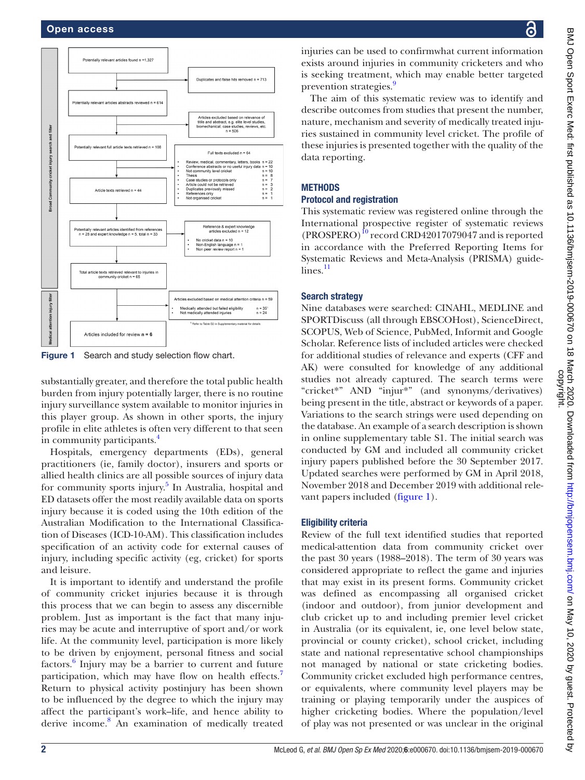

<span id="page-3-0"></span>Figure 1 Search and study selection flow chart.

substantially greater, and therefore the total public health burden from injury potentially larger, there is no routine injury surveillance system available to monitor injuries in this player group. As shown in other sports, the injury profile in elite athletes is often very different to that seen in community participants.<sup>4</sup>

Hospitals, emergency departments (EDs), general practitioners (ie, family doctor), insurers and sports or allied health clinics are all possible sources of injury data for community sports injury.<sup>[5](#page-11-4)</sup> In Australia, hospital and ED datasets offer the most readily available data on sports injury because it is coded using the 10th edition of the Australian Modification to the International Classification of Diseases (ICD-10-AM). This classification includes specification of an activity code for external causes of injury, including specific activity (eg, cricket) for sports and leisure.

It is important to identify and understand the profile of community cricket injuries because it is through this process that we can begin to assess any discernible problem. Just as important is the fact that many injuries may be acute and interruptive of sport and/or work life. At the community level, participation is more likely to be driven by enjoyment, personal fitness and social factors.<sup>[6](#page-12-0)</sup> Injury may be a barrier to current and future participation, which may have flow on health effects.<sup>[7](#page-12-1)</sup> Return to physical activity postinjury has been shown to be influenced by the degree to which the injury may affect the participant's work–life, and hence ability to derive income.<sup>[8](#page-12-2)</sup> An examination of medically treated

injuries can be used to confirmwhat current information exists around injuries in community cricketers and who is seeking treatment, which may enable better targeted prevention strategies.<sup>9</sup>

The aim of this systematic review was to identify and describe outcomes from studies that present the number, nature, mechanism and severity of medically treated injuries sustained in community level cricket. The profile of these injuries is presented together with the quality of the data reporting.

#### **METHODS**

#### Protocol and registration

This systematic review was registered online through the International prospective register of systematic reviews  $(PROSPERO)<sup>10</sup>$  record CRD42017079047 and is reported in accordance with the Preferred Reporting Items for Systematic Reviews and Meta-Analysis (PRISMA) guide $lines.$ <sup>[11](#page-12-5)</sup>

#### Search strategy

Nine databases were searched: CINAHL, MEDLINE and SPORTDiscuss (all through EBSCOHost), ScienceDirect, SCOPUS, Web of Science, PubMed, Informit and Google Scholar. Reference lists of included articles were checked for additional studies of relevance and experts (CFF and AK) were consulted for knowledge of any additional studies not already captured. The search terms were "cricket\*" AND "injur\*" (and synonyms/derivatives) being present in the title, abstract or keywords of a paper. Variations to the search strings were used depending on the database. An example of a search description is shown in [online supplementary table S1.](https://dx.doi.org/10.1136/bmjsem-2019-000670) The initial search was conducted by GM and included all community cricket injury papers published before the 30 September 2017. Updated searches were performed by GM in April 2018, November 2018 and December 2019 with additional relevant papers included ([figure](#page-3-0) 1).

#### Eligibility criteria

Review of the full text identified studies that reported medical-attention data from community cricket over the past 30 years (1988–2018). The term of 30 years was considered appropriate to reflect the game and injuries that may exist in its present forms. Community cricket was defined as encompassing all organised cricket (indoor and outdoor), from junior development and club cricket up to and including premier level cricket in Australia (or its equivalent, ie, one level below state, provincial or county cricket), school cricket, including state and national representative school championships not managed by national or state cricketing bodies. Community cricket excluded high performance centres, or equivalents, where community level players may be training or playing temporarily under the auspices of higher cricketing bodies. Where the population/level of play was not presented or was unclear in the original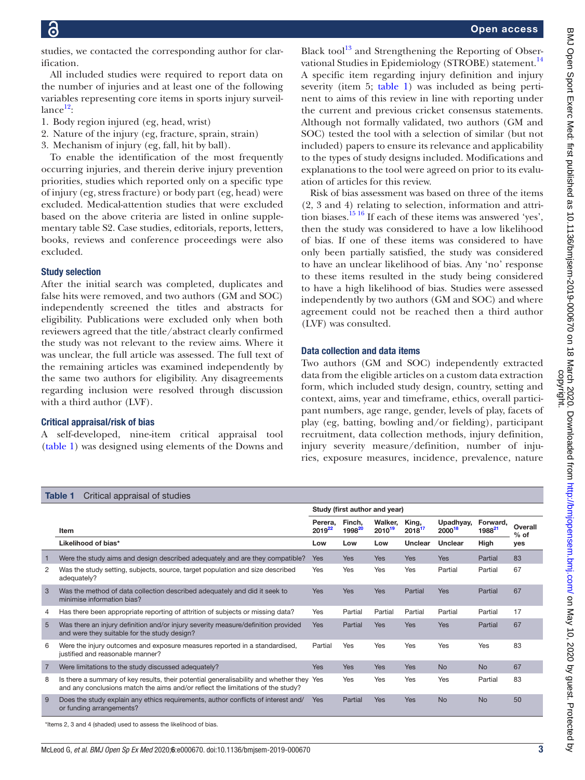studies, we contacted the corresponding author for clarification.

All included studies were required to report data on the number of injuries and at least one of the following variables representing core items in sports injury surveil $lance<sup>12</sup>$ :

- 1. Body region injured (eg, head, wrist)
- 2. Nature of the injury (eg, fracture, sprain, strain)
- 3. Mechanism of injury (eg, fall, hit by ball).

To enable the identification of the most frequently occurring injuries, and therein derive injury prevention priorities, studies which reported only on a specific type of injury (eg, stress fracture) or body part (eg, head) were excluded. Medical-attention studies that were excluded based on the above criteria are listed in [online supple](https://dx.doi.org/10.1136/bmjsem-2019-000670)[mentary table S2.](https://dx.doi.org/10.1136/bmjsem-2019-000670) Case studies, editorials, reports, letters, books, reviews and conference proceedings were also excluded.

#### Study selection

After the initial search was completed, duplicates and false hits were removed, and two authors (GM and SOC) independently screened the titles and abstracts for eligibility. Publications were excluded only when both reviewers agreed that the title/abstract clearly confirmed the study was not relevant to the review aims. Where it was unclear, the full article was assessed. The full text of the remaining articles was examined independently by the same two authors for eligibility. Any disagreements regarding inclusion were resolved through discussion with a third author (LVF).

#### Critical appraisal/risk of bias

A self-developed, nine-item critical appraisal tool [\(table](#page-4-0) 1) was designed using elements of the Downs and

Black tool $^{13}$  and Strengthening the Reporting of Observational Studies in Epidemiology (STROBE) statement.<sup>14</sup> A specific item regarding injury definition and injury severity (item 5; [table](#page-4-0) 1) was included as being pertinent to aims of this review in line with reporting under the current and previous cricket consensus statements. Although not formally validated, two authors (GM and SOC) tested the tool with a selection of similar (but not included) papers to ensure its relevance and applicability to the types of study designs included. Modifications and explanations to the tool were agreed on prior to its evaluation of articles for this review.

Risk of bias assessment was based on three of the items (2, 3 and 4) relating to selection, information and attrition biases.<sup>15 16</sup> If each of these items was answered 'yes', then the study was considered to have a low likelihood of bias. If one of these items was considered to have only been partially satisfied, the study was considered to have an unclear likelihood of bias. Any 'no' response to these items resulted in the study being considered to have a high likelihood of bias. Studies were assessed independently by two authors (GM and SOC) and where agreement could not be reached then a third author (LVF) was consulted.

#### Data collection and data items

Two authors (GM and SOC) independently extracted data from the eligible articles on a custom data extraction form, which included study design, country, setting and context, aims, year and timeframe, ethics, overall participant numbers, age range, gender, levels of play, facets of play (eg, batting, bowling and/or fielding), participant recruitment, data collection methods, injury definition, injury severity measure/definition, number of injuries, exposure measures, incidence, prevalence, nature

<span id="page-4-0"></span>

|                | Table 1<br>Critical appraisal of studies                                                                                                                                    |                               |                              |                               |                 |                     |                                |                   |
|----------------|-----------------------------------------------------------------------------------------------------------------------------------------------------------------------------|-------------------------------|------------------------------|-------------------------------|-----------------|---------------------|--------------------------------|-------------------|
|                |                                                                                                                                                                             |                               |                              | Study (first author and year) |                 |                     |                                |                   |
|                | Item                                                                                                                                                                        | Perera.<br>2019 <sup>22</sup> | Finch,<br>1998 <sup>20</sup> | Walker.<br>2010 <sup>19</sup> | King,<br>201817 | Upadhyay,<br>200018 | Forward,<br>1988 <sup>21</sup> | Overall<br>$%$ of |
|                | Likelihood of bias*                                                                                                                                                         | Low                           | Low                          | Low                           | Unclear         | <b>Unclear</b>      | High                           | yes               |
| 1              | Were the study aims and design described adequately and are they compatible?                                                                                                | <b>Yes</b>                    | Yes                          | <b>Yes</b>                    | <b>Yes</b>      | Yes                 | Partial                        | 83                |
| 2              | Was the study setting, subjects, source, target population and size described<br>adequately?                                                                                | Yes                           | Yes                          | Yes                           | Yes             | Partial             | Partial                        | 67                |
| 3              | Was the method of data collection described adequately and did it seek to<br>minimise information bias?                                                                     | <b>Yes</b>                    | <b>Yes</b>                   | <b>Yes</b>                    | Partial         | Yes                 | Partial                        | 67                |
| 4              | Has there been appropriate reporting of attrition of subjects or missing data?                                                                                              | Yes                           | Partial                      | Partial                       | Partial         | Partial             | Partial                        | 17                |
| 5              | Was there an injury definition and/or injury severity measure/definition provided<br>and were they suitable for the study design?                                           | <b>Yes</b>                    | Partial                      | <b>Yes</b>                    | <b>Yes</b>      | Yes                 | Partial                        | 67                |
| 6              | Were the injury outcomes and exposure measures reported in a standardised,<br>justified and reasonable manner?                                                              | Partial                       | Yes                          | Yes                           | Yes             | Yes                 | Yes                            | 83                |
| $\overline{7}$ | Were limitations to the study discussed adequately?                                                                                                                         | <b>Yes</b>                    | <b>Yes</b>                   | <b>Yes</b>                    | <b>Yes</b>      | <b>No</b>           | <b>No</b>                      | 67                |
| 8              | Is there a summary of key results, their potential generalisability and whether they Yes<br>and any conclusions match the aims and/or reflect the limitations of the study? |                               | Yes                          | Yes                           | Yes             | Yes                 | Partial                        | 83                |
| 9              | Does the study explain any ethics requirements, author conflicts of interest and/<br>or funding arrangements?                                                               | <b>Yes</b>                    | Partial                      | Yes                           | Yes             | <b>No</b>           | <b>No</b>                      | 50                |
|                | *Items 2, 3 and 4 (shaded) used to assess the likelihood of bias.                                                                                                           |                               |                              |                               |                 |                     |                                |                   |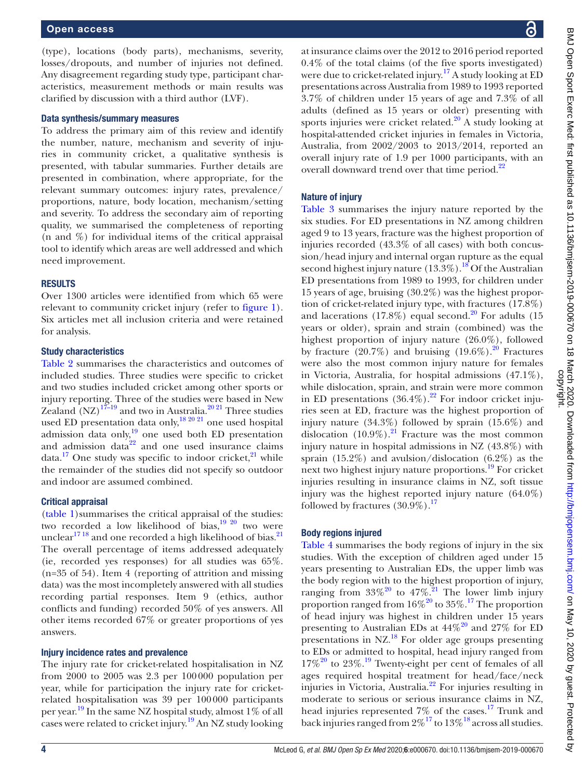#### Open access

(type), locations (body parts), mechanisms, severity, losses/dropouts, and number of injuries not defined. Any disagreement regarding study type, participant characteristics, measurement methods or main results was clarified by discussion with a third author (LVF).

#### Data synthesis/summary measures

To address the primary aim of this review and identify the number, nature, mechanism and severity of injuries in community cricket, a qualitative synthesis is presented, with tabular summaries. Further details are presented in combination, where appropriate, for the relevant summary outcomes: injury rates, prevalence/ proportions, nature, body location, mechanism/setting and severity. To address the secondary aim of reporting quality, we summarised the completeness of reporting (n and %) for individual items of the critical appraisal tool to identify which areas are well addressed and which need improvement.

#### **RESULTS**

Over 1300 articles were identified from which 65 were relevant to community cricket injury (refer to [figure](#page-3-0) 1). Six articles met all inclusion criteria and were retained for analysis.

#### Study characteristics

[Table](#page-6-0) 2 summarises the characteristics and outcomes of included studies. Three studies were specific to cricket and two studies included cricket among other sports or injury reporting. Three of the studies were based in New Zealand  $(NZ)^{17-19}$  and two in Australia.<sup>20 21</sup> Three studies used ED presentation data only,<sup>[18 20 21](#page-12-10)</sup> one used hospital admission data only, $\frac{19}{19}$  $\frac{19}{19}$  $\frac{19}{19}$  one used both ED presentation and admission data<sup>[22](#page-12-6)</sup> and one used insurance claims data.<sup>[17](#page-12-9)</sup> One study was specific to indoor cricket, $21$  while the remainder of the studies did not specify so outdoor and indoor are assumed combined.

#### Critical appraisal

[\(table](#page-4-0) 1)summarises the critical appraisal of the studies: two recorded a low likelihood of bias, $\frac{19}{20}$  two were unclear<sup>17 18</sup> and one recorded a high likelihood of bias.<sup>21</sup> The overall percentage of items addressed adequately (ie, recorded yes responses) for all studies was 65%. (n=35 of 54). Item 4 (reporting of attrition and missing data) was the most incompletely answered with all studies recording partial responses. Item 9 (ethics, author conflicts and funding) recorded 50% of yes answers. All other items recorded 67% or greater proportions of yes answers.

#### Injury incidence rates and prevalence

The injury rate for cricket-related hospitalisation in NZ from 2000 to 2005 was 2.3 per 100000 population per year, while for participation the injury rate for cricketrelated hospitalisation was 39 per 100000 participants per year.<sup>19</sup> In the same NZ hospital study, almost 1% of all cases were related to cricket injury.<sup>19</sup> An NZ study looking

at insurance claims over the 2012 to 2016 period reported 0.4% of the total claims (of the five sports investigated) were due to cricket-related injury.<sup>[17](#page-12-9)</sup> A study looking at ED presentations across Australia from 1989 to 1993 reported 3.7% of children under 15 years of age and 7.3% of all adults (defined as 15 years or older) presenting with sports injuries were cricket related.<sup>[20](#page-12-7)</sup> A study looking at hospital-attended cricket injuries in females in Victoria, Australia, from 2002/2003 to 2013/2014, reported an overall injury rate of 1.9 per 1000 participants, with an overall downward trend over that time period.<sup>[22](#page-12-6)</sup>

#### Nature of injury

[Table](#page-8-0) 3 summarises the injury nature reported by the six studies. For ED presentations in NZ among children aged 9 to 13 years, fracture was the highest proportion of injuries recorded (43.3% of all cases) with both concussion/head injury and internal organ rupture as the equal second highest injury nature  $(13.3\%)$ .<sup>[18](#page-12-10)</sup> Of the Australian ED presentations from 1989 to 1993, for children under 15 years of age, bruising (30.2%) was the highest proportion of cricket-related injury type, with fractures (17.8%) and lacerations  $(17.8\%)$  equal second.<sup>[20](#page-12-7)</sup> For adults  $(15$ years or older), sprain and strain (combined) was the highest proportion of injury nature (26.0%), followed by fracture  $(20.7\%)$  and bruising  $(19.6\%)$ .<sup>20</sup> Fractures were also the most common injury nature for females in Victoria, Australia, for hospital admissions (47.1%), while dislocation, sprain, and strain were more common in ED presentations  $(36.4\%)$ .<sup>22</sup> For indoor cricket injuries seen at ED, fracture was the highest proportion of injury nature (34.3%) followed by sprain (15.6%) and dislocation  $(10.9\%)$ .<sup>21</sup> Fracture was the most common injury nature in hospital admissions in NZ (43.8%) with sprain (15.2%) and avulsion/dislocation (6.2%) as the next two highest injury nature proportions.[19](#page-12-8) For cricket injuries resulting in insurance claims in NZ, soft tissue injury was the highest reported injury nature (64.0%) followed by fractures  $(30.9\%)$ .<sup>17</sup>

#### Body regions injured

[Table](#page-9-0) 4 summarises the body regions of injury in the six studies. With the exception of children aged under 15 years presenting to Australian EDs, the upper limb was the body region with to the highest proportion of injury, ranging from  $33\%^{20}$  to  $47\%$ .<sup>21</sup> The lower limb injury proportion ranged from  $16\%^{20}$  to  $35\%$ .<sup>17</sup> The proportion of head injury was highest in children under 15 years presenting to Australian EDs at  $44\%^{20}$  $44\%^{20}$  $44\%^{20}$  and  $27\%$  for ED presentations in NZ.[18](#page-12-10) For older age groups presenting to EDs or admitted to hospital, head injury ranged from  $17\%$ <sup>20</sup> to 23%.<sup>19</sup> Twenty-eight per cent of females of all ages required hospital treatment for head/face/neck injuries in Victoria, Australia.[22](#page-12-6) For injuries resulting in moderate to serious or serious insurance claims in NZ, head injuries represented 7% of the cases.<sup>17</sup> Trunk and back injuries ranged from  $2\%^{17}$  to  $13\%^{18}$  across all studies.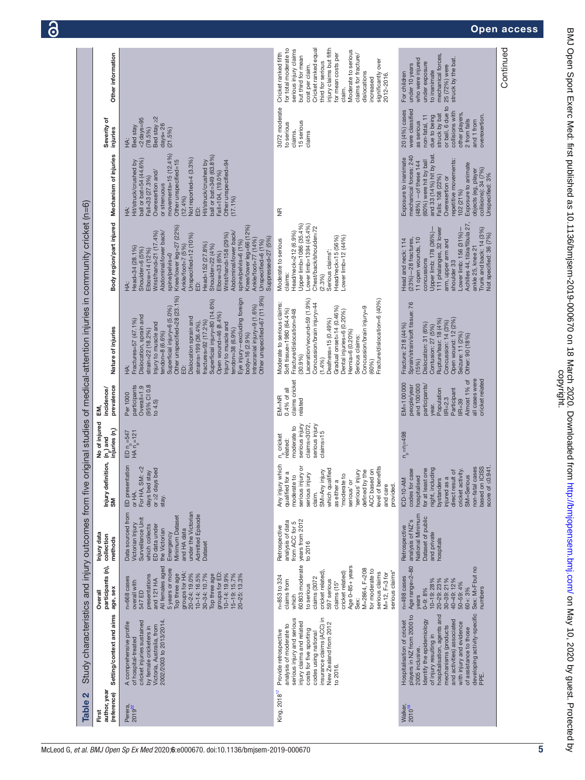<span id="page-6-0"></span>

| Table 2                              | Study characteristics and injury outcomes from five                                                                                                                                                                                                                                                                  |                                                                                                                                                                                                                                                                                       |                                                                                                                                                                                                                            |                                                                                                                                                                                                                                                                                                                                 |                                                                                                              |                                                                                                                                                                               | original studies of medical-attention injuries in community cricket (n=6)                                                                                                                                                                                                                                                                                                                                                                                                                     |                                                                                                                                                                                                                                                                                                                                                                                                                                                |                                                                                                                                                                                                                                                                                                                   |                                                                                                                                                                                                           |                                                                                                                                                                                                                                                                                                                                        |
|--------------------------------------|----------------------------------------------------------------------------------------------------------------------------------------------------------------------------------------------------------------------------------------------------------------------------------------------------------------------|---------------------------------------------------------------------------------------------------------------------------------------------------------------------------------------------------------------------------------------------------------------------------------------|----------------------------------------------------------------------------------------------------------------------------------------------------------------------------------------------------------------------------|---------------------------------------------------------------------------------------------------------------------------------------------------------------------------------------------------------------------------------------------------------------------------------------------------------------------------------|--------------------------------------------------------------------------------------------------------------|-------------------------------------------------------------------------------------------------------------------------------------------------------------------------------|-----------------------------------------------------------------------------------------------------------------------------------------------------------------------------------------------------------------------------------------------------------------------------------------------------------------------------------------------------------------------------------------------------------------------------------------------------------------------------------------------|------------------------------------------------------------------------------------------------------------------------------------------------------------------------------------------------------------------------------------------------------------------------------------------------------------------------------------------------------------------------------------------------------------------------------------------------|-------------------------------------------------------------------------------------------------------------------------------------------------------------------------------------------------------------------------------------------------------------------------------------------------------------------|-----------------------------------------------------------------------------------------------------------------------------------------------------------------------------------------------------------|----------------------------------------------------------------------------------------------------------------------------------------------------------------------------------------------------------------------------------------------------------------------------------------------------------------------------------------|
| author, year<br>(reference)<br>First | Setting/context and aims                                                                                                                                                                                                                                                                                             | participants (n),<br>age, sex<br>Overall                                                                                                                                                                                                                                              | Injury data<br>collection<br>methods                                                                                                                                                                                       | Injury definition,<br>`SM                                                                                                                                                                                                                                                                                                       | No of injured<br>$\binom{n}{n}$ and<br>injuries $\binom{n}{n}$                                               | prevalence<br>incidence/<br>EM,                                                                                                                                               | Nature of injuries                                                                                                                                                                                                                                                                                                                                                                                                                                                                            | Body region/part injured                                                                                                                                                                                                                                                                                                                                                                                                                       | Mechanism of injuries                                                                                                                                                                                                                                                                                             | Severity of<br>injuries                                                                                                                                                                                   | Other information                                                                                                                                                                                                                                                                                                                      |
| Perera,<br>2019 <sup>22</sup>        | 2002/2003 to 2013/2014.<br>cricket injuries sustained<br>A comprehensive profile<br>Victoria, Australia, from<br>by female cricketers in<br>of hospital-treated                                                                                                                                                      | All females aged<br>5 years or more<br>groups for HA:<br>groups for ED:<br>20-24: 19.0%<br>$10 - 14:16.5%$<br>10-14: 19.9%<br>15-19: 15.7%<br>30-34: 10.7%<br>20-25: 13.3%<br>presentations<br>Top three age<br>Top three age<br>n=668 cases<br>and 121 HA<br>overall with<br>547 ED  | Data sourced from<br>under the Victorian<br><b>Admitted Episode</b><br>Surveillance Unit<br>Minimum Dataset<br>Victorian Injury<br>which collects<br>ED data under<br>and HA data<br>the Victorian<br>Emergency<br>Dataset | ED presentation<br>For HA, SM: <2<br>bed<br>days bed stay<br>or $\geq$ 2 days<br>or HA.<br>stay.                                                                                                                                                                                                                                | ED $n_p = 547$<br>HA $n_p = 121$                                                                             | (95% CI 0.8<br>participants<br>Overal $=1.9$<br>Per 1000<br>to 4.5                                                                                                            | Other unspecified=67 (11.9%)<br>Other unspecified=28 (23.1%)<br>Eye injury-excluding foreign<br>Superficial injury=80 (14.6%)<br>Intracranial injury=9 (1.6%)<br>Superficial injury=6 (5.0%)<br>Open wound=46 (8.4%)<br>Dislocation, sprain and<br>Dislocation sprain and<br>Fractures=57 (47.1%)<br>fractures=92 (17.2%)<br>njury to muscle and<br>strains=199 (36.4%),<br>Injury to muscle and<br>tendon=38 (6.9%)<br>strain=22 (18.2%)<br>tendon=8 (6.6%)<br>body=16 (2.9%)<br>$\dot{\Xi}$ | Knee/lower leg=27 (22%)<br>Ankle/foot=7 (5%)<br>Knee/lower leg=66 (12%)<br>Abdominal/lower back/<br>Wrist/hand=21 (17.4%)<br>Abdominal/lower back/<br>Wrist/hand=158 (29%)<br>Unspecified=12 (10%)<br>Suppressed=27 (5%)<br>Ankle/foot=77 (14%)<br>Unspecified=6 (1%)<br>spine/pelvis=6 (1%)<br>Head=152 (27.8%)<br>Shoulder=22 (4%)<br>Head=34 (28.1%)<br>Shoulder=6 (5%)<br>Elbow=14 (12%)<br>Elbow=33 (6%)<br>spine/pelvis=0<br>$\dot{\Xi}$ | movements=15 $(12.4%)$<br>ball or bat=349 (63.8%)<br>Not reported=4 (3.3%)<br>ball or bat=54 (44.6%)<br>Other unspecified=15<br>Hit/struck/crushed by<br>Hit/struck/crushed by<br>Other unspecified=94<br>Overexertion and/<br>Fall=104, (19.0%)<br>Fall=33 (27.3%)<br>or strenuous<br>(12.4%)<br>$(17.1\%)$<br>总 | Bed stay ≥2<br>$2$ days=95<br>$days = 26$<br>Bed stay<br>(78.5%)<br>(21.5%)<br>НÄ:                                                                                                                        |                                                                                                                                                                                                                                                                                                                                        |
| King, 2018 <sup>17</sup>             | insurance claims (ACC) in<br>serious injury and serious<br>injury claims and related<br>New Zealand from 2012<br>analysis of moderate to<br>costs for five sporting<br>Provide retrospective<br>codes using national<br>to 2016.                                                                                     | 60803 moderate<br>Age 0-85+ years<br>M=2864, F=208<br>for moderate to<br>serious claims*<br>cricket related)<br>cricket related)<br>serious claims<br>$M = 12, F = 3 for$<br>n=853 to 324<br>claims (3072<br>claims from<br>597 serious<br>claims (15*<br>to serious<br>which<br>Sex: | years from 2012<br>analysis of data<br>from ACC for 5<br>Retrospective<br>to 2016                                                                                                                                          | which<br>level of benefits<br>iury or<br>which qualified<br>ACC based on<br>'serious' injury<br>defined by the<br>SM=Any injury<br>qualified for a<br>serious injury<br>$\overline{c}$<br>$\overline{c}$<br>as either a<br>'moderate<br>serious' or<br>Any injury<br>moderate<br>serious inj<br>provided.<br>and care<br>claim. | $clains = 3072$<br>serious injury<br>serious injury<br>moderate to<br>$claims = 15$<br>n cricket<br>related: | claims cricket<br>0.4% of all<br>$EM = NR$<br>related                                                                                                                         | Laceration/wound=59 (1.9%)<br>Fracture/dislocation=6 (40%)<br>Moderate to serious claims:<br>Concussion/brain injury=44<br>Concussion/brain injury=9<br>Gradual onset=14 (0.46%)<br>Soft tissue=1980 (64.4%)<br>Fracture/dislocation=948<br>Dental injuries=6 (0.20%)<br>Deafness=15 (0.49%)<br>Hernia=6 (0.20%)<br>Serious claims:<br>(30.9%<br>(1.4%)<br>(60%                                                                                                                               | Upper limb=1086 (35.4%)<br>Lower limb=1394 (45.4%)<br>Chest/back/shoulder=72<br>Head/neck=212 (6.9%)<br>Head/neck=15 (56%)<br>Lower limb=12 (44%)<br>Moderate to serious<br>Serious claims*:<br>claims:<br>(2.3%)                                                                                                                                                                                                                              | $\frac{\pi}{2}$                                                                                                                                                                                                                                                                                                   | 3072 moderate<br>15 serious<br>to serious<br>claims.<br>claims                                                                                                                                            | Cricket ranked equal<br>injury claims but fifth<br>for total moderate to<br>serious injury claims<br>Moderate to serious<br>Cricket ranked fifth<br>for mean costs per<br>claims for fracture/<br>but third for mean<br>significantly over<br>third for serious<br>cost per claim.<br>dislocations<br>2012-2016<br>increased<br>claim. |
| Walker,<br>2010 <sup>19</sup>        | developing activity-specific<br>players in NZ from 2000 to<br>hospitalisation, agents and<br>Identify the epidemiology<br>and activities) associated<br>Hospitalisation of cricket<br>with injury and evidence<br>mechanisms (products<br>of assistance to those<br>of injury resulting in<br>2005 inclusive.<br>PE. | Age range=2-80<br>Sex: M>Fbut no<br>$n=498$ cases<br>30-39: 21%<br>40-49: 12%<br>10-19: 28%<br>20-29: 23%<br>50-59: 4%<br>numbers<br>$0 - 9:8%$<br>$60 + 3%$<br>years                                                                                                                 | National Minimum<br>Dataset of public<br>analysis of NZ's<br>Retrospective<br>and private<br>rospitals                                                                                                                     | score of $\leq$ 0.941.<br><b>ICISS</b><br>night, including<br>non-fatal cases<br>: one<br>ICD-10-AM<br>codes for case<br>cricket activity.<br>direct result of<br>SM=Serious<br>bystanders<br>injured as a<br>hospitalised<br>for at least<br>based on                                                                          | $n_{\rm p}$ = $n_{\rm i}$ =498                                                                               | cricket relatec<br>all cases were<br>Almost 1% of<br>EM=100000<br>and 100000<br>participants<br>people/year<br>Population<br>Participant<br>$IR = 2.3$<br>$IIR = 39$<br>year. | Fracture: 218 (44%)<br>Sprain/strain/soft tissue: 76<br>Open wound: 12 (2%)<br>Rupture/tear: 18 (4%)<br>Concussion: 14 (3%)<br>Dislocation: 31 (6%)<br>Contusion: 27 (5%)<br>Seizure: 11 (2%)<br>Other: 90 (18%)<br>(15%)                                                                                                                                                                                                                                                                     | Achilles 44, tibia/fibula 27,<br>111 phalanges, 32 lower<br>Upper limb: 178 (36%)-<br>Trunk and back: 14 (3%)<br>Lower limb: 156 (31%)-<br>Not specified: 36 (7%)<br>11 open wounds, 10<br>$(23\%) - 28$ fractures,<br>arm, upper arm and<br>Head and neck: 114<br>ankle 25, knee 21<br>concussions<br>shoulder 33                                                                                                                             | and 33 (14%) hit by bat.<br>mechanical forces: 240<br>Exposure to inanimate<br>repetitive movements:<br>(48%) —of these 144<br>(60%) were hit by ball<br>Exposure to animate<br>collisions): 34 (7%)<br>objects (eg, player<br>Jnspecified: 3%<br>Falls: 108 (22%)<br>Overexertion or<br>102 (21%)                | or ball, 6 due to<br>were classified<br>20 (4%) cases<br>collisions with<br>other players,<br>struck by bat<br>overexertion.<br>non-fatal, 11<br>due to being<br>2 from falls<br>and 1 from<br>as serious | mechanical forces,<br>who were injured<br>struck by the bat.<br>under exposure<br>under 10 years<br>25 (72%) were<br>to inanimate<br>For children                                                                                                                                                                                      |
|                                      |                                                                                                                                                                                                                                                                                                                      |                                                                                                                                                                                                                                                                                       |                                                                                                                                                                                                                            |                                                                                                                                                                                                                                                                                                                                 |                                                                                                              |                                                                                                                                                                               |                                                                                                                                                                                                                                                                                                                                                                                                                                                                                               |                                                                                                                                                                                                                                                                                                                                                                                                                                                |                                                                                                                                                                                                                                                                                                                   |                                                                                                                                                                                                           | Continued                                                                                                                                                                                                                                                                                                                              |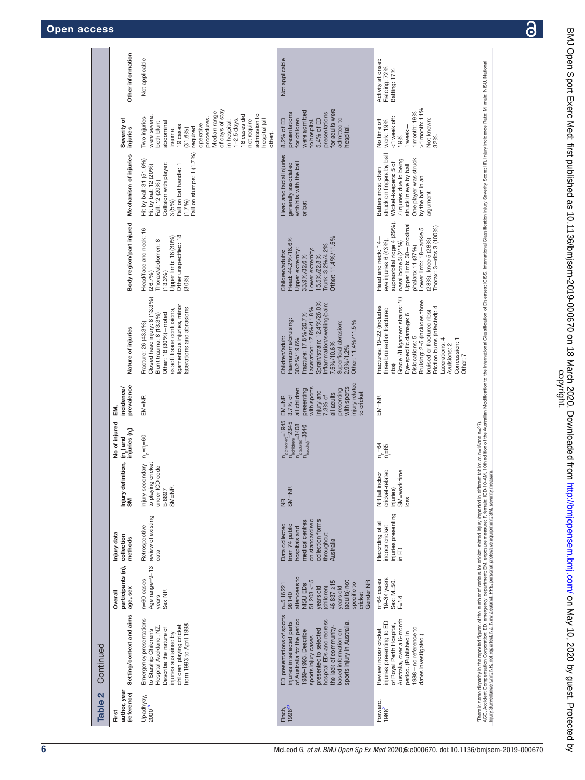|  | <b>Open access</b> |  |
|--|--------------------|--|
|  |                    |  |

| Table 2                              | Continued                                                                                                                                                                                                                                                                  |                                                                                                                                                                                        |                                                                                                                                        |                                                                                           |                                                                                                                        |                                                                                                                                                                     |                                                                                                                                                                                                                                                                                                                 |                                                                                                                                                                                                                             |                                                                                                                                                                                      |                                                                                                                                                                                                                                                                                   |                                                     |
|--------------------------------------|----------------------------------------------------------------------------------------------------------------------------------------------------------------------------------------------------------------------------------------------------------------------------|----------------------------------------------------------------------------------------------------------------------------------------------------------------------------------------|----------------------------------------------------------------------------------------------------------------------------------------|-------------------------------------------------------------------------------------------|------------------------------------------------------------------------------------------------------------------------|---------------------------------------------------------------------------------------------------------------------------------------------------------------------|-----------------------------------------------------------------------------------------------------------------------------------------------------------------------------------------------------------------------------------------------------------------------------------------------------------------|-----------------------------------------------------------------------------------------------------------------------------------------------------------------------------------------------------------------------------|--------------------------------------------------------------------------------------------------------------------------------------------------------------------------------------|-----------------------------------------------------------------------------------------------------------------------------------------------------------------------------------------------------------------------------------------------------------------------------------|-----------------------------------------------------|
| author, year<br>(reference)<br>First | Setting/context and aims                                                                                                                                                                                                                                                   | participants (n),<br>age, sex<br>Overall                                                                                                                                               | Injury data<br>collection<br>methods                                                                                                   | Injury definition,<br>SM                                                                  | No of injured<br>injuries (n.)<br>$(n_{\rm p})$ and                                                                    | prevalence<br>incidence/<br>ξ.                                                                                                                                      | Nature of injuries                                                                                                                                                                                                                                                                                              | Body region/part injured                                                                                                                                                                                                    | Mechanism of injuries                                                                                                                                                                | Severity of<br>injuries                                                                                                                                                                                                                                                           | Other information                                   |
| Upadhyay,<br>2000 <sup>18</sup>      | Emergency presentations<br>to Starship Children's<br>from 1993 to April 1998.<br>children playing cricket<br>Hospital Auckland, NZ<br>Describe the nature of<br>injuries sustained by                                                                                      | Age range=9-13<br>n=60 cases<br>Sex NR<br>years                                                                                                                                        | review of existing<br>Retrospective<br>data                                                                                            | cricket<br>Injury secondary<br>code<br>to playing c<br>under ICD o<br>$SM=NR$ .<br>E-8897 | $n_{\rm p}$ = $n_{\rm i}$ = 60                                                                                         | $EM=NR$                                                                                                                                                             | Closed head injury: 8 (13.3%)<br>ligamentous injuries, minor<br>acerations and abrasions<br>as soft tissue contusions,<br>Other: 18 (30%)-noted<br>Blunt trauma: 8 (13.3%)<br>Fracture: 26 (43.3%)                                                                                                              | Head/face and neck: 16<br>Other unspecified: 18<br>Upper limb: 18 (30%)<br>Thorax/abdomen: 8<br>(13.3%)<br>(26.7%)<br>(30%)                                                                                                 | Fall on stumps: 1 (1.7%)<br>Hit by ball: 31 (51.6%)<br>Collision with player:<br>Fall on bat handle: 1<br>Hit by bat: 12 (20%)<br>Fall: 12 (20%)<br>3(5%)<br>(1.7%)                  | of days of stay<br>Median range<br>admission to<br>18 cases did<br>were severe,<br>Two injuries<br>procedures<br>hospital (all<br>$1 - 2.5$ days.<br>in hospital:<br>not require<br>both blunt<br>abdominal<br>operative<br>19 cases<br>required<br>trauma.<br>(31.6%)<br>other). | Not applicable                                      |
| Finch,<br>1998 <sup>20</sup>         | ED presentations of sports<br>of Australia for the period<br>hospital EDs and redress<br>injuries in selected parts<br>sports injury in Australia<br>the lack of community-<br>presented to selected<br>1989-1993. Describe<br>based information on<br>sports injury cases | attendees to<br>51203 < 15<br>$46837 \ge 15$<br>Gender NR<br>(adults) not<br>specific to<br><b>VISU EDS</b><br>$n = 51622$<br>years old<br>years old<br>(children)<br>98140<br>cricket | on standardised<br>collection forms<br>medical centres<br>Data collected<br>from 74 public<br>hospitals and<br>throughout<br>Australia | $MB$<br>SM=NR                                                                             | n p(children) = 1945<br>P(children) = 2345<br>P(children) = 3408<br>P(staults) = 3408<br>$n_{\mathrm{(aduts)}} = 3846$ | injury related<br>with sports<br>with sports<br>all children<br>presenting<br>presenting<br>injury and<br>all adults<br>to cricket<br>7.3% of<br>3.7% of<br>$EM=NR$ | Sprain/strain: 12.4%/26.0%<br>Inflammation/swelling/pain:<br>Laceration: 17.8%/11.8%<br>Fracture: 17.8 %/20.7%<br>Haematoma/bruising:<br>Other: 11.4%/11.5%<br>Superficial abrasion:<br>30.2%/19.6%<br>Children/adult:<br>7.5%/10.6%<br>2.9%/1.2%                                                               | Other: 11.4%/11.5%<br>Head: 44.2%/16.6%<br>Trunk: 3.2%/4.2%<br>Upper extremity:<br>Lower extremity:<br>Children/adults:<br>15.5%/22.8%<br>33.9%/32.6%                                                                       | Head and facial injuries<br>with hits with the ball<br>generally associated<br>or bat                                                                                                | for adults were<br>were admitted<br>presentations<br>presentations<br>5.4% of ED<br>admitted to<br>8.2% of ED<br>for children<br>to hospital.<br>hospital                                                                                                                         | Not applicable                                      |
| Forward,<br>1988 <sup>21</sup>       | Australia, over a 6-month<br>injuries presenting to ED<br>of Royal Perth Hospital<br>1988-no reference to<br>Review indoor cricket<br>period. (Published in<br>dates investigated.)                                                                                        | 19-34 years<br>$n=64$ cases<br>Sex: M=50,<br>$F=14$                                                                                                                                    | injuries presenting<br>Recording of all<br>indoor cricket<br>in ED                                                                     | ated<br>SM=worktime<br>NR (all indoor<br>cricket-rel<br>injuries)<br>loss                 | $n_{\rm P}^{\rm p} = 64$<br>$n_{\rm P}^{\rm p} = 64$                                                                   | $EM=NR$                                                                                                                                                             | Grade I/II ligament strains: 10<br>Bruising: 2-5 (includes three<br>Fractures: 19-22 (includes<br>Friction burns (infected): 4<br>three bruised or fractured<br>bruised or fractured ribs)<br>Eye-specific damage: 6<br>Dislocations: 5<br>Lacerations: 4<br>Concussion: 1<br>Avulsions: 2<br>Other: 7<br>ribs) | supraorbital ridge 4 (29%),<br>Upper limb: 30-proximal<br>Thorax: 3-ribs 3 (100%)<br>Lower limb: 18-ankle 5<br>Head and neck: 14-<br>(28%), knee 5 (28%)<br>eye injuries 6 (43%),<br>nasal bone 3 (21%)<br>phalanx 11 (37%) | struck on fingers by ball<br>7 injuries due to being<br>One player was struck<br>Wicket-keepers: 5 of<br>struck in eye by ball<br>Batters most often<br>by the bat in an<br>argument | $>1$ month: $11%$<br>1 month: 19%<br><1 week off:<br>Not known:<br>No time off<br>work: 19%<br>1 week-<br>32%.<br>19%                                                                                                                                                             | Activity at onset:<br>Fielding: 72%<br>Batting: 17% |
|                                      |                                                                                                                                                                                                                                                                            |                                                                                                                                                                                        |                                                                                                                                        |                                                                                           |                                                                                                                        |                                                                                                                                                                     | There is some disparty in the reported figures of the number of series for index independent tables as n=15 and n=27}.<br>In the some disparty in the product of the number of the series of the series of the figure in the dis                                                                                |                                                                                                                                                                                                                             |                                                                                                                                                                                      |                                                                                                                                                                                                                                                                                   |                                                     |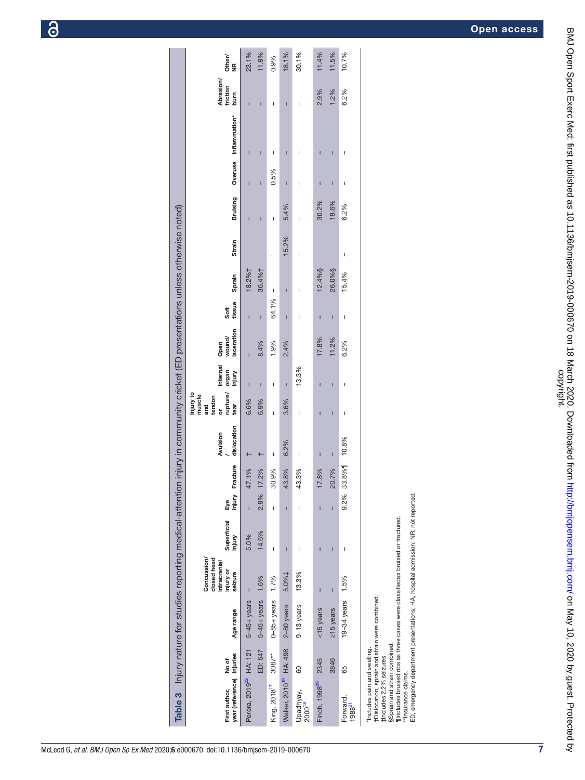<span id="page-8-0"></span>

| Table 3 Injury nature for studies reporting medical-attention injury in community cricket (ED presentations unless otherwise noted)<br><b>Bruis</b><br><b>Strain</b> | Ï<br>Ī<br>18.2%†<br>36.4%†     | I<br>ï                   | 5.4%<br>15.2%              | $\mathbf{I}$<br>$\overline{\phantom{a}}$                                                                                                                                                                                                                                                                                                                                         | 30.2<br>12.4%§            | 19.6<br>26.0%§        | 6.2%<br>$\mathbf{I}$     |
|----------------------------------------------------------------------------------------------------------------------------------------------------------------------|--------------------------------|--------------------------|----------------------------|----------------------------------------------------------------------------------------------------------------------------------------------------------------------------------------------------------------------------------------------------------------------------------------------------------------------------------------------------------------------------------|---------------------------|-----------------------|--------------------------|
| Sprain<br>tissue<br>Soft                                                                                                                                             |                                | $\overline{1}$<br>64.1%  | ī                          | $\overline{\phantom{a}}$                                                                                                                                                                                                                                                                                                                                                         |                           |                       | 15.4%                    |
| laceration<br>wound/<br>Open                                                                                                                                         | $\mathbf{I}$<br>Ī<br>8.4%      | 1.9%                     | I<br>2.4%                  | $\begin{array}{c} \rule{0pt}{2.5ex} \rule{0pt}{2.5ex} \rule{0pt}{2.5ex} \rule{0pt}{2.5ex} \rule{0pt}{2.5ex} \rule{0pt}{2.5ex} \rule{0pt}{2.5ex} \rule{0pt}{2.5ex} \rule{0pt}{2.5ex} \rule{0pt}{2.5ex} \rule{0pt}{2.5ex} \rule{0pt}{2.5ex} \rule{0pt}{2.5ex} \rule{0pt}{2.5ex} \rule{0pt}{2.5ex} \rule{0pt}{2.5ex} \rule{0pt}{2.5ex} \rule{0pt}{2.5ex} \rule{0pt}{2.5ex} \rule{0$ | I<br>17.8%                | $\mathbf{I}$<br>11.2% | $\mathbf{I}$<br>6.2%     |
| nternal<br>organ<br>injury                                                                                                                                           | Ī<br>$\overline{1}$            | I                        | Ï                          | 13.3%                                                                                                                                                                                                                                                                                                                                                                            | ı                         | $\overline{1}$        | $\overline{\phantom{a}}$ |
| rupture/<br>Injury to<br>muscle<br>tendon<br>and<br>tear<br>ŏ                                                                                                        | 6.6%<br>6.9%                   | I                        | 3.6%                       | $\begin{array}{c} \rule{0pt}{2.5ex} \rule{0pt}{2.5ex} \rule{0pt}{2.5ex} \rule{0pt}{2.5ex} \rule{0pt}{2.5ex} \rule{0pt}{2.5ex} \rule{0pt}{2.5ex} \rule{0pt}{2.5ex} \rule{0pt}{2.5ex} \rule{0pt}{2.5ex} \rule{0pt}{2.5ex} \rule{0pt}{2.5ex} \rule{0pt}{2.5ex} \rule{0pt}{2.5ex} \rule{0pt}{2.5ex} \rule{0pt}{2.5ex} \rule{0pt}{2.5ex} \rule{0pt}{2.5ex} \rule{0pt}{2.5ex} \rule{0$ | ı                         | $\mathbf{I}$          | $\mathbf{I}$             |
| dislocation<br>Avulsion                                                                                                                                              |                                | $\mathbf{I}$             | 6.2%                       | $\begin{array}{c} \rule{0pt}{2.5ex} \rule{0pt}{2.5ex} \rule{0pt}{2.5ex} \rule{0pt}{2.5ex} \rule{0pt}{2.5ex} \rule{0pt}{2.5ex} \rule{0pt}{2.5ex} \rule{0pt}{2.5ex} \rule{0pt}{2.5ex} \rule{0pt}{2.5ex} \rule{0pt}{2.5ex} \rule{0pt}{2.5ex} \rule{0pt}{2.5ex} \rule{0pt}{2.5ex} \rule{0pt}{2.5ex} \rule{0pt}{2.5ex} \rule{0pt}{2.5ex} \rule{0pt}{2.5ex} \rule{0pt}{2.5ex} \rule{0$ | Ī                         | $\mathbf I$           | 10.8%                    |
| Fracture                                                                                                                                                             | 47.1%<br>17.2%                 | 30.9%                    | 43.8%                      | 43.3%                                                                                                                                                                                                                                                                                                                                                                            | 17.8%                     | 20.7%                 | 33.8%                    |
| Eye<br>injury                                                                                                                                                        | 2.9%<br>Ï                      | I                        | ī                          | $\begin{array}{c} \rule{0pt}{2.5ex} \rule{0pt}{2.5ex} \rule{0pt}{2.5ex} \rule{0pt}{2.5ex} \rule{0pt}{2.5ex} \rule{0pt}{2.5ex} \rule{0pt}{2.5ex} \rule{0pt}{2.5ex} \rule{0pt}{2.5ex} \rule{0pt}{2.5ex} \rule{0pt}{2.5ex} \rule{0pt}{2.5ex} \rule{0pt}{2.5ex} \rule{0pt}{2.5ex} \rule{0pt}{2.5ex} \rule{0pt}{2.5ex} \rule{0pt}{2.5ex} \rule{0pt}{2.5ex} \rule{0pt}{2.5ex} \rule{0$ | ī                         | $\overline{1}$        | 9.2%                     |
| Superficial<br>injury                                                                                                                                                | 14.6%<br>5.0%                  | I                        | Ī                          | $\overline{\phantom{a}}$                                                                                                                                                                                                                                                                                                                                                         | ī                         | $\mathbf{I}$          | $\mathbf{I}$             |
| Concussion/<br>closed head<br>intracranial<br>injury or<br>seizure                                                                                                   | 1.6%                           | 1.7%                     | 5.0%‡                      | 13.3%                                                                                                                                                                                                                                                                                                                                                                            | Ī                         | $\mathbf{I}$          | 1.5%                     |
| Age range                                                                                                                                                            | $5-45+$ years<br>$5-45+$ years | $0 - 85 + y e ars$       | 2-80 years                 | 9-13 years                                                                                                                                                                                                                                                                                                                                                                       | $<$ 15 years              | ≥15 years             | $19-34$ years            |
| injuries<br>No of                                                                                                                                                    | ED: 547<br><b>HA: 121</b>      | $3087**$                 | HA: 498                    | 8                                                                                                                                                                                                                                                                                                                                                                                | 2345                      | 3846                  | 65                       |
| year (reference)<br>First author,                                                                                                                                    | Perera, 2019 <sup>22</sup>     | King, 2018 <sup>17</sup> | Walker, 2010 <sup>19</sup> | Upadhyay,<br>2000 <sup>18</sup>                                                                                                                                                                                                                                                                                                                                                  | Finch, 1998 <sup>20</sup> |                       | Forward,<br>$1988^{21}$  |

| 23.1%<br>11.9%<br>18.1%<br>30.1%<br>11.4%<br>11.5%<br>10.7%<br>0.9%<br>Other/<br>NR<br>Abrasion/<br>friction<br>2.9%<br>1.2%<br>6.2%<br>burn<br>I<br>I<br>Ī<br>I<br>Overuse Inflammation*<br>$\mathbf{I}$<br>I<br>Ī<br>I<br>Ī<br>I<br>$\begin{array}{c} \hline \end{array}$<br>0.5%<br>I<br>I<br>Ī<br>$\mathbf{I}$<br>$\begin{array}{c} \hline \end{array}$<br>Ī<br>ı<br><b>Bruising</b><br>30.2%<br>19.6%<br>6.2%<br>5.4%<br>I<br>Ī<br>I<br>Ī<br>15.2%<br>Strain<br>$\overline{1}$<br>$\begin{array}{c} \hline \end{array}$<br>12.4%§<br>26.0%§<br>18.2%†<br>36.4%†<br>15.4%<br>Sprain<br>I<br>I<br>I<br>64.1%<br>tissue<br>Soft<br>$\mathbf{I}$<br>$\mathbf{I}$<br>$\overline{1}$<br>Ï<br>$\begin{array}{c} \rule{0pt}{2ex} \rule{0pt}{2ex} \rule{0pt}{2ex} \rule{0pt}{2ex} \rule{0pt}{2ex} \rule{0pt}{2ex} \rule{0pt}{2ex} \rule{0pt}{2ex} \rule{0pt}{2ex} \rule{0pt}{2ex} \rule{0pt}{2ex} \rule{0pt}{2ex} \rule{0pt}{2ex} \rule{0pt}{2ex} \rule{0pt}{2ex} \rule{0pt}{2ex} \rule{0pt}{2ex} \rule{0pt}{2ex} \rule{0pt}{2ex} \rule{0pt}{2ex} \rule{0pt}{2ex} \rule{0pt}{2ex} \rule{0pt}{2ex} \rule{0pt}{$<br>$\mathbf{I}$<br>$\begin{array}{c} \rule{0pt}{2ex} \rule{0pt}{2ex} \rule{0pt}{2ex} \rule{0pt}{2ex} \rule{0pt}{2ex} \rule{0pt}{2ex} \rule{0pt}{2ex} \rule{0pt}{2ex} \rule{0pt}{2ex} \rule{0pt}{2ex} \rule{0pt}{2ex} \rule{0pt}{2ex} \rule{0pt}{2ex} \rule{0pt}{2ex} \rule{0pt}{2ex} \rule{0pt}{2ex} \rule{0pt}{2ex} \rule{0pt}{2ex} \rule{0pt}{2ex} \rule{0pt}{2ex} \rule{0pt}{2ex} \rule{0pt}{2ex} \rule{0pt}{2ex} \rule{0pt}{$<br>laceration<br>wound/<br>17.8%<br>11.2%<br>1.9%<br>6.2%<br>8.4%<br>2.4%<br>Open<br>Internal<br>13.3%<br><b>Annul</b><br>uminul<br>$\mathbf{I}$<br>$\overline{1}$<br>I<br>I<br>$\mathbf{I}$<br>I<br>I<br>rupture/<br>Injury to<br>muscle<br>tendon<br>6.6%<br>6.9%<br>3.6%<br>tear<br>and<br>ð.<br>I<br>I<br>I<br>$\begin{array}{c} \hline \end{array}$<br>dislocation<br>Avulsion<br>33.8%1 10.8%<br>6.2%<br>$\begin{array}{c} \rule{0pt}{2.5ex} \rule{0pt}{2.5ex} \rule{0pt}{2.5ex} \rule{0pt}{2.5ex} \rule{0pt}{2.5ex} \rule{0pt}{2.5ex} \rule{0pt}{2.5ex} \rule{0pt}{2.5ex} \rule{0pt}{2.5ex} \rule{0pt}{2.5ex} \rule{0pt}{2.5ex} \rule{0pt}{2.5ex} \rule{0pt}{2.5ex} \rule{0pt}{2.5ex} \rule{0pt}{2.5ex} \rule{0pt}{2.5ex} \rule{0pt}{2.5ex} \rule{0pt}{2.5ex} \rule{0pt}{2.5ex} \rule{0$<br>$\mathsf{I}$<br>$\mathbf I$<br>$\mathbf{I}$<br>Fracture<br>20.7%<br>17.2%<br>43.8%<br>17.8%<br>47.1%<br>30.9%<br>43.3%<br>injury<br>2.9%<br>9.2%<br>ED, emergency department presentations; HA, hospital admission; NR, not reported<br>Еyе<br>$\overline{1}$<br>Ī<br>Ï<br>I<br>I<br>flincludes bruised ribs as three cases were classifiedas bruised or fractured.<br>Superficial<br>14.6%<br>injury<br>5.0%<br>I<br>Ī<br>$\mathbf{I}$<br>I<br>$\begin{array}{c} \hline \end{array}$<br>ı<br>Concussion/<br>closed head<br>intracranial<br>injury or<br>seizure<br>5.0%‡<br>13.3%<br>1.6%<br>1.7%<br>1.5%<br>$\mathbf I$<br>ı<br>$5-45+years$<br>†Dislocation, sprain and strain were combined.<br>$0 - 85 + y ear s$<br>19 $-34$ years<br>$5-45+years$<br>$9-13$ years<br>2-80 years<br>$\ge$ 15 years<br><15 years<br>Age range |                                                              | Table 3 Injury nature for studies reporting medical-attention injury in community cricket (ED presentations unless otherwise noted) |  |  |  |  |  |  |  |  |
|------------------------------------------------------------------------------------------------------------------------------------------------------------------------------------------------------------------------------------------------------------------------------------------------------------------------------------------------------------------------------------------------------------------------------------------------------------------------------------------------------------------------------------------------------------------------------------------------------------------------------------------------------------------------------------------------------------------------------------------------------------------------------------------------------------------------------------------------------------------------------------------------------------------------------------------------------------------------------------------------------------------------------------------------------------------------------------------------------------------------------------------------------------------------------------------------------------------------------------------------------------------------------------------------------------------------------------------------------------------------------------------------------------------------------------------------------------------------------------------------------------------------------------------------------------------------------------------------------------------------------------------------------------------------------------------------------------------------------------------------------------------------------------------------------------------------------------------------------------------------------------------------------------------------------------------------------------------------------------------------------------------------------------------------------------------------------------------------------------------------------------------------------------------------------------------------------------------------------------------------------------------------------------------------------------------------------------------------------------------------------------------------------------------------------------------------------------------------------------------------------------------------------------------------------------------------------------------------------------------------------------------------------------------------------------------------------------------------------------------------------------------------------------------------------------------------------------------------------------------------------------------------------------------------------------------------------------------------------------------------------------------------------------------------------------------------------------------------------------------------------------------------------------------------------------|--------------------------------------------------------------|-------------------------------------------------------------------------------------------------------------------------------------|--|--|--|--|--|--|--|--|
|                                                                                                                                                                                                                                                                                                                                                                                                                                                                                                                                                                                                                                                                                                                                                                                                                                                                                                                                                                                                                                                                                                                                                                                                                                                                                                                                                                                                                                                                                                                                                                                                                                                                                                                                                                                                                                                                                                                                                                                                                                                                                                                                                                                                                                                                                                                                                                                                                                                                                                                                                                                                                                                                                                                                                                                                                                                                                                                                                                                                                                                                                                                                                                                    |                                                              |                                                                                                                                     |  |  |  |  |  |  |  |  |
|                                                                                                                                                                                                                                                                                                                                                                                                                                                                                                                                                                                                                                                                                                                                                                                                                                                                                                                                                                                                                                                                                                                                                                                                                                                                                                                                                                                                                                                                                                                                                                                                                                                                                                                                                                                                                                                                                                                                                                                                                                                                                                                                                                                                                                                                                                                                                                                                                                                                                                                                                                                                                                                                                                                                                                                                                                                                                                                                                                                                                                                                                                                                                                                    | Perera, 2019 <sup>22</sup> HA: 121                           |                                                                                                                                     |  |  |  |  |  |  |  |  |
|                                                                                                                                                                                                                                                                                                                                                                                                                                                                                                                                                                                                                                                                                                                                                                                                                                                                                                                                                                                                                                                                                                                                                                                                                                                                                                                                                                                                                                                                                                                                                                                                                                                                                                                                                                                                                                                                                                                                                                                                                                                                                                                                                                                                                                                                                                                                                                                                                                                                                                                                                                                                                                                                                                                                                                                                                                                                                                                                                                                                                                                                                                                                                                                    | ED: 547                                                      |                                                                                                                                     |  |  |  |  |  |  |  |  |
|                                                                                                                                                                                                                                                                                                                                                                                                                                                                                                                                                                                                                                                                                                                                                                                                                                                                                                                                                                                                                                                                                                                                                                                                                                                                                                                                                                                                                                                                                                                                                                                                                                                                                                                                                                                                                                                                                                                                                                                                                                                                                                                                                                                                                                                                                                                                                                                                                                                                                                                                                                                                                                                                                                                                                                                                                                                                                                                                                                                                                                                                                                                                                                                    |                                                              |                                                                                                                                     |  |  |  |  |  |  |  |  |
|                                                                                                                                                                                                                                                                                                                                                                                                                                                                                                                                                                                                                                                                                                                                                                                                                                                                                                                                                                                                                                                                                                                                                                                                                                                                                                                                                                                                                                                                                                                                                                                                                                                                                                                                                                                                                                                                                                                                                                                                                                                                                                                                                                                                                                                                                                                                                                                                                                                                                                                                                                                                                                                                                                                                                                                                                                                                                                                                                                                                                                                                                                                                                                                    | HA: 498                                                      |                                                                                                                                     |  |  |  |  |  |  |  |  |
|                                                                                                                                                                                                                                                                                                                                                                                                                                                                                                                                                                                                                                                                                                                                                                                                                                                                                                                                                                                                                                                                                                                                                                                                                                                                                                                                                                                                                                                                                                                                                                                                                                                                                                                                                                                                                                                                                                                                                                                                                                                                                                                                                                                                                                                                                                                                                                                                                                                                                                                                                                                                                                                                                                                                                                                                                                                                                                                                                                                                                                                                                                                                                                                    |                                                              |                                                                                                                                     |  |  |  |  |  |  |  |  |
|                                                                                                                                                                                                                                                                                                                                                                                                                                                                                                                                                                                                                                                                                                                                                                                                                                                                                                                                                                                                                                                                                                                                                                                                                                                                                                                                                                                                                                                                                                                                                                                                                                                                                                                                                                                                                                                                                                                                                                                                                                                                                                                                                                                                                                                                                                                                                                                                                                                                                                                                                                                                                                                                                                                                                                                                                                                                                                                                                                                                                                                                                                                                                                                    |                                                              |                                                                                                                                     |  |  |  |  |  |  |  |  |
|                                                                                                                                                                                                                                                                                                                                                                                                                                                                                                                                                                                                                                                                                                                                                                                                                                                                                                                                                                                                                                                                                                                                                                                                                                                                                                                                                                                                                                                                                                                                                                                                                                                                                                                                                                                                                                                                                                                                                                                                                                                                                                                                                                                                                                                                                                                                                                                                                                                                                                                                                                                                                                                                                                                                                                                                                                                                                                                                                                                                                                                                                                                                                                                    |                                                              |                                                                                                                                     |  |  |  |  |  |  |  |  |
|                                                                                                                                                                                                                                                                                                                                                                                                                                                                                                                                                                                                                                                                                                                                                                                                                                                                                                                                                                                                                                                                                                                                                                                                                                                                                                                                                                                                                                                                                                                                                                                                                                                                                                                                                                                                                                                                                                                                                                                                                                                                                                                                                                                                                                                                                                                                                                                                                                                                                                                                                                                                                                                                                                                                                                                                                                                                                                                                                                                                                                                                                                                                                                                    |                                                              |                                                                                                                                     |  |  |  |  |  |  |  |  |
|                                                                                                                                                                                                                                                                                                                                                                                                                                                                                                                                                                                                                                                                                                                                                                                                                                                                                                                                                                                                                                                                                                                                                                                                                                                                                                                                                                                                                                                                                                                                                                                                                                                                                                                                                                                                                                                                                                                                                                                                                                                                                                                                                                                                                                                                                                                                                                                                                                                                                                                                                                                                                                                                                                                                                                                                                                                                                                                                                                                                                                                                                                                                                                                    | §Sprain and strain combined.<br>*Includes pain and swelling. |                                                                                                                                     |  |  |  |  |  |  |  |  |

 $\mathcal{L}_{\mathcal{A}}$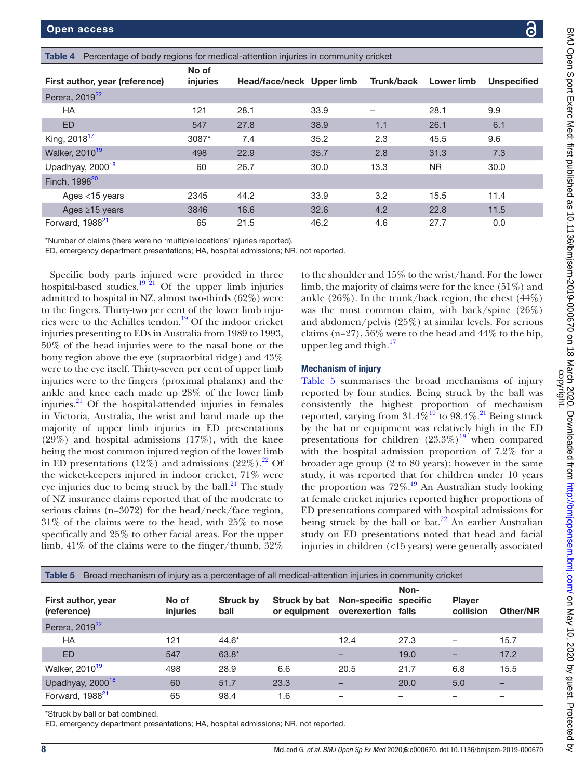| つかへい のひり斗 Excasts N.                       |
|--------------------------------------------|
|                                            |
|                                            |
|                                            |
|                                            |
|                                            |
| $\frac{1}{2}$                              |
| ֖֖֪֪֪֚֚֚֚֚֝֝֝֝֝֝֝֝֝֝֝֝֝֝֬֝֝֝֝֝֬֝֝֝֝֝֝֝֬֝֝֝ |
|                                            |
|                                            |
|                                            |
|                                            |
|                                            |
|                                            |
|                                            |
|                                            |
|                                            |
|                                            |
|                                            |
|                                            |
|                                            |
|                                            |
|                                            |
|                                            |
|                                            |
|                                            |
|                                            |
|                                            |
|                                            |
|                                            |
|                                            |
|                                            |
|                                            |
|                                            |
| まさま                                        |
|                                            |
|                                            |
|                                            |
|                                            |
|                                            |
|                                            |
|                                            |
|                                            |
|                                            |
|                                            |
|                                            |
|                                            |
|                                            |
|                                            |
|                                            |
| .<br>.                                     |
|                                            |
|                                            |
|                                            |
|                                            |
|                                            |
|                                            |
|                                            |
|                                            |
|                                            |
|                                            |

<span id="page-9-0"></span>

| Percentage of body regions for medical-attention injuries in community cricket<br>Table 4 |                   |                           |      |            |            |                    |
|-------------------------------------------------------------------------------------------|-------------------|---------------------------|------|------------|------------|--------------------|
| First author, year (reference)                                                            | No of<br>injuries | Head/face/neck Upper limb |      | Trunk/back | Lower limb | <b>Unspecified</b> |
| Perera, 2019 <sup>22</sup>                                                                |                   |                           |      |            |            |                    |
| <b>HA</b>                                                                                 | 121               | 28.1                      | 33.9 |            | 28.1       | 9.9                |
| <b>ED</b>                                                                                 | 547               | 27.8                      | 38.9 | 1.1        | 26.1       | 6.1                |
| King, 2018 <sup>17</sup>                                                                  | 3087*             | 7.4                       | 35.2 | 2.3        | 45.5       | 9.6                |
| Walker, 2010 <sup>19</sup>                                                                | 498               | 22.9                      | 35.7 | 2.8        | 31.3       | 7.3                |
| Upadhyay, 2000 <sup>18</sup>                                                              | 60                | 26.7                      | 30.0 | 13.3       | NR.        | 30.0               |
| Finch, 1998 <sup>20</sup>                                                                 |                   |                           |      |            |            |                    |
| Ages <15 years                                                                            | 2345              | 44.2                      | 33.9 | 3.2        | 15.5       | 11.4               |
| Ages ≥15 years                                                                            | 3846              | 16.6                      | 32.6 | 4.2        | 22.8       | 11.5               |
| Forward, 1988 <sup>21</sup>                                                               | 65                | 21.5                      | 46.2 | 4.6        | 27.7       | 0.0                |

\*Number of claims (there were no 'multiple locations' injuries reported).

ED, emergency department presentations; HA, hospital admissions; NR, not reported.

Specific body parts injured were provided in three hospital-based studies.<sup>19 21</sup> Of the upper limb injuries admitted to hospital in NZ, almost two-thirds (62%) were to the fingers. Thirty-two per cent of the lower limb injuries were to the Achilles tendon[.19](#page-12-8) Of the indoor cricket injuries presenting to EDs in Australia from 1989 to 1993, 50% of the head injuries were to the nasal bone or the bony region above the eye (supraorbital ridge) and 43% were to the eye itself. Thirty-seven per cent of upper limb injuries were to the fingers (proximal phalanx) and the ankle and knee each made up 28% of the lower limb injuries. $^{21}$  $^{21}$  $^{21}$  Of the hospital-attended injuries in females in Victoria, Australia, the wrist and hand made up the majority of upper limb injuries in ED presentations (29%) and hospital admissions (17%), with the knee being the most common injured region of the lower limb in ED presentations  $(12\%)$  and admissions  $(22\%)$ .<sup>22</sup> Of the wicket-keepers injured in indoor cricket, 71% were eye injuries due to being struck by the ball. $^{21}$  $^{21}$  $^{21}$  The study of NZ insurance claims reported that of the moderate to serious claims (n=3072) for the head/neck/face region, 31% of the claims were to the head, with 25% to nose specifically and 25% to other facial areas. For the upper limb, 41% of the claims were to the finger/thumb, 32%

to the shoulder and 15% to the wrist/hand. For the lower limb, the majority of claims were for the knee (51%) and ankle  $(26\%)$ . In the trunk/back region, the chest  $(44\%)$ was the most common claim, with back/spine (26%) and abdomen/pelvis (25%) at similar levels. For serious claims (n=27),  $56\%$  were to the head and  $44\%$  to the hip, upper leg and thigh. $17$ 

#### Mechanism of injury

[Table](#page-9-1) 5 summarises the broad mechanisms of injury reported by four studies. Being struck by the ball was consistently the highest proportion of mechanism reported, varying from  $31.4\%^{19}$  to  $98.4\%^{21}$  $98.4\%^{21}$  $98.4\%^{21}$  Being struck by the bat or equipment was relatively high in the ED presentations for children  $(23.3\%)^{18}$  when compared with the hospital admission proportion of 7.2% for a broader age group (2 to 80 years); however in the same study, it was reported that for children under 10 years the proportion was  $72\%$ .<sup>19</sup> An Australian study looking at female cricket injuries reported higher proportions of ED presentations compared with hospital admissions for being struck by the ball or bat. $^{22}$  $^{22}$  $^{22}$  An earlier Australian study on ED presentations noted that head and facial injuries in children (<15 years) were generally associated

<span id="page-9-1"></span>

| Broad mechanism of injury as a percentage of all medical-attention injuries in community cricket<br>Table 5 |                   |                   |                               |                                             |                          |                            |          |
|-------------------------------------------------------------------------------------------------------------|-------------------|-------------------|-------------------------------|---------------------------------------------|--------------------------|----------------------------|----------|
| First author, year<br>(reference)                                                                           | No of<br>injuries | Struck by<br>ball | Struck by bat<br>or equipment | Non-specific specific<br>overexertion falls | Non-                     | <b>Player</b><br>collision | Other/NR |
| Perera, 2019 <sup>22</sup>                                                                                  |                   |                   |                               |                                             |                          |                            |          |
| <b>HA</b>                                                                                                   | 121               | 44.6*             |                               | 12.4                                        | 27.3                     |                            | 15.7     |
| <b>ED</b>                                                                                                   | 547               | 63.8*             |                               | -                                           | 19.0                     |                            | 17.2     |
| Walker, 2010 <sup>19</sup>                                                                                  | 498               | 28.9              | 6.6                           | 20.5                                        | 21.7                     | 6.8                        | 15.5     |
| Upadhyay, 2000 <sup>18</sup>                                                                                | 60                | 51.7              | 23.3                          |                                             | 20.0                     | 5.0                        |          |
| Forward, 1988 <sup>21</sup>                                                                                 | 65                | 98.4              | 1.6                           | $\overline{\phantom{0}}$                    | $\overline{\phantom{0}}$ |                            |          |

\*Struck by ball or bat combined.

ED, emergency department presentations; HA, hospital admissions; NR, not reported.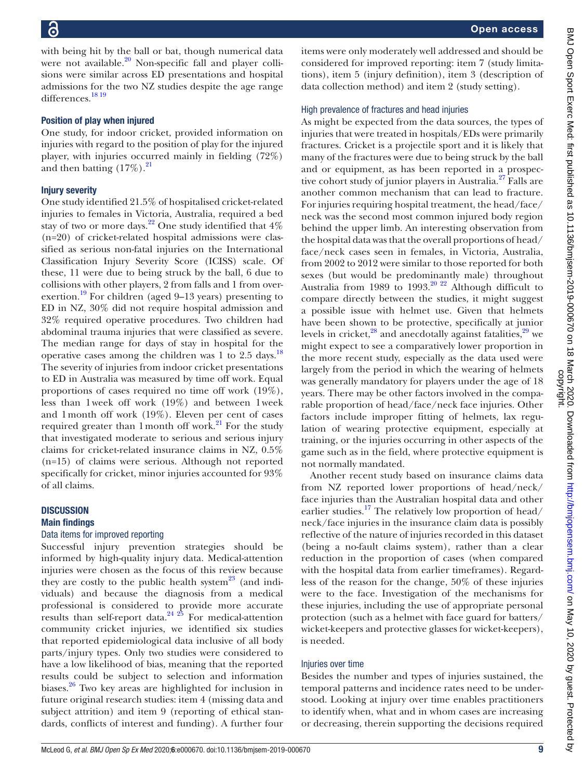Open access As might be expected from the data sources, the types of BMJ Open Sport Exerc Med: first published as 10.1136/bmjsem-2019-000670 on 18 March 2020. Downloaded from http://bmjopensem.bmj.com/ on May 10, 2020 by guest. Protected by<br>copyright.

with being hit by the ball or bat, though numerical data were not available. $20$  Non-specific fall and player collisions were similar across ED presentations and hospital admissions for the two NZ studies despite the age range differences.<sup>[18 19](#page-12-10)</sup>

#### Position of play when injured

One study, for indoor cricket, provided information on injuries with regard to the position of play for the injured player, with injuries occurred mainly in fielding (72%) and then batting  $(17\%)$ .<sup>21</sup>

#### Injury severity

One study identified 21.5% of hospitalised cricket-related injuries to females in Victoria, Australia, required a bed stay of two or more days.<sup>22</sup> One study identified that  $4\%$ (n=20) of cricket-related hospital admissions were classified as serious non-fatal injuries on the International Classification Injury Severity Score (ICISS) scale. Of these, 11 were due to being struck by the ball, 6 due to collisions with other players, 2 from falls and 1 from overexertion.<sup>19</sup> For children (aged 9–13 years) presenting to ED in NZ, 30% did not require hospital admission and 32% required operative procedures. Two children had abdominal trauma injuries that were classified as severe. The median range for days of stay in hospital for the operative cases among the children was 1 to  $2.5$  days.<sup>18</sup> The severity of injuries from indoor cricket presentations to ED in Australia was measured by time off work. Equal proportions of cases required no time off work (19%), less than 1week off work (19%) and between 1week and 1month off work (19%). Eleven per cent of cases required greater than 1 month off work.<sup>21</sup> For the study that investigated moderate to serious and serious injury claims for cricket-related insurance claims in NZ, 0.5% (n=15) of claims were serious. Although not reported specifically for cricket, minor injuries accounted for 93% of all claims.

### **DISCUSSION**

#### Main findings

#### Data items for improved reporting

Successful injury prevention strategies should be informed by high-quality injury data. Medical-attention injuries were chosen as the focus of this review because they are costly to the public health system<sup>23</sup> (and individuals) and because the diagnosis from a medical professional is considered to provide more accurate results than self-report data. $24\frac{25}{25}$  For medical-attention community cricket injuries, we identified six studies that reported epidemiological data inclusive of all body parts/injury types. Only two studies were considered to have a low likelihood of bias, meaning that the reported results could be subject to selection and information biases.<sup>26</sup> Two key areas are highlighted for inclusion in future original research studies: item 4 (missing data and subject attrition) and item 9 (reporting of ethical standards, conflicts of interest and funding). A further four

items were only moderately well addressed and should be considered for improved reporting: item 7 (study limitations), item 5 (injury definition), item 3 (description of data collection method) and item 2 (study setting).

#### High prevalence of fractures and head injuries

injuries that were treated in hospitals/EDs were primarily fractures. Cricket is a projectile sport and it is likely that many of the fractures were due to being struck by the ball and or equipment, as has been reported in a prospective cohort study of junior players in Australia.<sup>27</sup> Falls are another common mechanism that can lead to fracture. For injuries requiring hospital treatment, the head/face/ neck was the second most common injured body region behind the upper limb. An interesting observation from the hospital data was that the overall proportions of head/ face/neck cases seen in females, in Victoria, Australia, from 2002 to 2012 were similar to those reported for both sexes (but would be predominantly male) throughout Australia from 1989 to 1993.<sup>20 22</sup> Although difficult to compare directly between the studies, it might suggest a possible issue with helmet use. Given that helmets have been shown to be protective, specifically at junior levels in cricket, $^{28}$  and anecdotally against fatalities, $^{29}$  we might expect to see a comparatively lower proportion in the more recent study, especially as the data used were largely from the period in which the wearing of helmets was generally mandatory for players under the age of 18 years. There may be other factors involved in the comparable proportion of head/face/neck face injuries. Other factors include improper fitting of helmets, lax regulation of wearing protective equipment, especially at training, or the injuries occurring in other aspects of the game such as in the field, where protective equipment is not normally mandated. Another recent study based on insurance claims data

from NZ reported lower proportions of head/neck/ face injuries than the Australian hospital data and other earlier studies.<sup>17</sup> The relatively low proportion of head/ neck/face injuries in the insurance claim data is possibly reflective of the nature of injuries recorded in this dataset (being a no-fault claims system), rather than a clear reduction in the proportion of cases (when compared with the hospital data from earlier timeframes). Regardless of the reason for the change, 50% of these injuries were to the face. Investigation of the mechanisms for these injuries, including the use of appropriate personal protection (such as a helmet with face guard for batters/ wicket-keepers and protective glasses for wicket-keepers), is needed.

#### Injuries over time

Besides the number and types of injuries sustained, the temporal patterns and incidence rates need to be understood. Looking at injury over time enables practitioners to identify when, what and in whom cases are increasing or decreasing, therein supporting the decisions required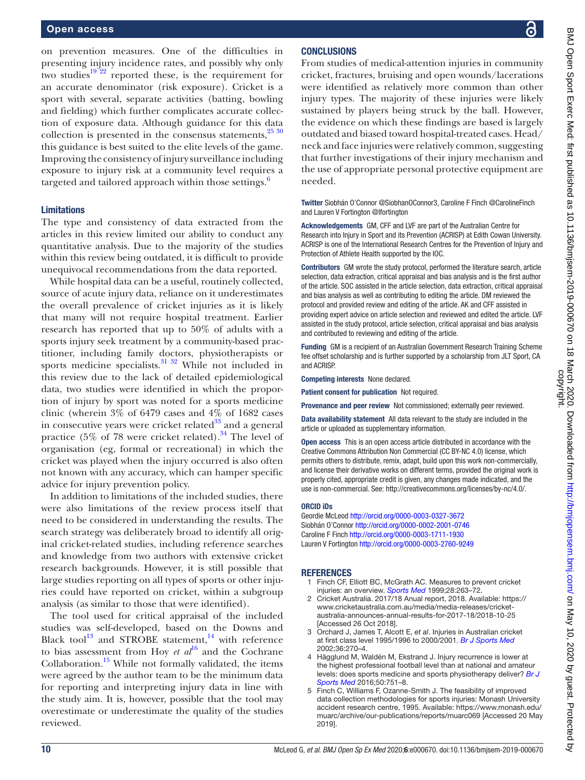on prevention measures. One of the difficulties in presenting injury incidence rates, and possibly why only two studies<sup>[19 22](#page-12-8)</sup> reported these, is the requirement for an accurate denominator (risk exposure). Cricket is a sport with several, separate activities (batting, bowling and fielding) which further complicates accurate collection of exposure data. Although guidance for this data collection is presented in the consensus statements,  $25\frac{30}{25}$ this guidance is best suited to the elite levels of the game. Improving the consistency of injury surveillance including exposure to injury risk at a community level requires a targeted and tailored approach within those settings.<sup>[6](#page-12-0)</sup>

#### Limitations

The type and consistency of data extracted from the articles in this review limited our ability to conduct any quantitative analysis. Due to the majority of the studies within this review being outdated, it is difficult to provide unequivocal recommendations from the data reported.

While hospital data can be a useful, routinely collected, source of acute injury data, reliance on it underestimates the overall prevalence of cricket injuries as it is likely that many will not require hospital treatment. Earlier research has reported that up to 50% of adults with a sports injury seek treatment by a community-based practitioner, including family doctors, physiotherapists or sports medicine specialists.<sup>31</sup> 32 While not included in this review due to the lack of detailed epidemiological data, two studies were identified in which the proportion of injury by sport was noted for a sports medicine clinic (wherein 3% of 6479 cases and 4% of 1682 cases in consecutive years were cricket related $33$  and a general practice (5% of 78 were cricket related).<sup>34</sup> The level of organisation (eg, formal or recreational) in which the cricket was played when the injury occurred is also often not known with any accuracy, which can hamper specific advice for injury prevention policy.

In addition to limitations of the included studies, there were also limitations of the review process itself that need to be considered in understanding the results. The search strategy was deliberately broad to identify all original cricket-related studies, including reference searches and knowledge from two authors with extensive cricket research backgrounds. However, it is still possible that large studies reporting on all types of sports or other injuries could have reported on cricket, within a subgroup analysis (as similar to those that were identified).

The tool used for critical appraisal of the included studies was self-developed, based on the Downs and Black tool<sup>13</sup> and STROBE statement,<sup>14</sup> with reference to bias assessment from Hoy *et*  $al^{16}$  $al^{16}$  $al^{16}$  and the Cochrane Collaboration. $15$  While not formally validated, the items were agreed by the author team to be the minimum data for reporting and interpreting injury data in line with the study aim. It is, however, possible that the tool may overestimate or underestimate the quality of the studies reviewed.

#### **CONCLUSIONS**

From studies of medical-attention injuries in community cricket, fractures, bruising and open wounds/lacerations were identified as relatively more common than other injury types. The majority of these injuries were likely sustained by players being struck by the ball. However, the evidence on which these findings are based is largely outdated and biased toward hospital-treated cases. Head/ neck and face injuries were relatively common, suggesting that further investigations of their injury mechanism and the use of appropriate personal protective equipment are needed.

Twitter Siobhán O'Connor [@SiobhanOConnor3](https://twitter.com/SiobhanOConnor3), Caroline F Finch [@CarolineFinch](https://twitter.com/CarolineFinch)  and Lauren V Fortington [@lfortington](https://twitter.com/lfortington)

Acknowledgements GM, CFF and LVF are part of the Australian Centre for Research into Injury in Sport and its Prevention (ACRISP) at Edith Cowan University. ACRISP is one of the International Research Centres for the Prevention of Injury and Protection of Athlete Health supported by the IOC.

Contributors GM wrote the study protocol, performed the literature search, article selection, data extraction, critical appraisal and bias analysis and is the first author of the article. SOC assisted in the article selection, data extraction, critical appraisal and bias analysis as well as contributing to editing the article. DM reviewed the protocol and provided review and editing of the article. AK and CFF assisted in providing expert advice on article selection and reviewed and edited the article. LVF assisted in the study protocol, article selection, critical appraisal and bias analysis and contributed to reviewing and editing of the article.

Funding GM is a recipient of an Australian Government Research Training Scheme fee offset scholarship and is further supported by a scholarship from JLT Sport, CA and ACRISP.

Competing interests None declared.

Patient consent for publication Not required.

Provenance and peer review Not commissioned; externally peer reviewed.

Data availability statement All data relevant to the study are included in the article or uploaded as supplementary information.

Open access This is an open access article distributed in accordance with the Creative Commons Attribution Non Commercial (CC BY-NC 4.0) license, which permits others to distribute, remix, adapt, build upon this work non-commercially, and license their derivative works on different terms, provided the original work is properly cited, appropriate credit is given, any changes made indicated, and the use is non-commercial. See:<http://creativecommons.org/licenses/by-nc/4.0/>.

#### ORCID iDs

Geordie McLeod <http://orcid.org/0000-0003-0327-3672> Siobhán O'Connor <http://orcid.org/0000-0002-2001-0746> Caroline F Finch<http://orcid.org/0000-0003-1711-1930> Lauren V Fortington<http://orcid.org/0000-0003-2760-9249>

#### <span id="page-11-0"></span>**REFERENCES**

- 1 Finch CF, Elliott BC, McGrath AC. Measures to prevent cricket injuries: an overview. *[Sports Med](http://dx.doi.org/10.2165/00007256-199928040-00004)* 1999;28:263–72.
- <span id="page-11-1"></span>2 Cricket Australia. 2017/18 Anual report, 2018. Available: [https://](https://www.cricketaustralia.com.au/media/media-releases/cricket-australia-announces-annual-results-for-2017-18/2018-10-25) [www.cricketaustralia.com.au/media/media-releases/cricket](https://www.cricketaustralia.com.au/media/media-releases/cricket-australia-announces-annual-results-for-2017-18/2018-10-25)[australia-announces-annual-results-for-2017-18/2018-10-25](https://www.cricketaustralia.com.au/media/media-releases/cricket-australia-announces-annual-results-for-2017-18/2018-10-25)  [Accessed 26 Oct 2018].
- <span id="page-11-2"></span>3 Orchard J, James T, Alcott E, *et al*. Injuries in Australian cricket at first class level 1995/1996 to 2000/2001. *[Br J Sports Med](http://dx.doi.org/10.1136/bjsm.36.4.270)* 2002;36:270–4.
- <span id="page-11-3"></span>4 Hägglund M, Waldén M, Ekstrand J. Injury recurrence is lower at the highest professional football level than at national and amateur levels: does sports medicine and sports physiotherapy deliver? *[Br J](http://dx.doi.org/10.1136/bjsports-2015-095951)  [Sports Med](http://dx.doi.org/10.1136/bjsports-2015-095951)* 2016;50:751–8.
- <span id="page-11-4"></span>5 Finch C, Williams F, Ozanne-Smith J. The feasibility of improved data collection methodologies for sports injuries: Monash University accident research centre, 1995. Available: [https://www.monash.edu/](https://www.monash.edu/muarc/archive/our-publications/reports/muarc069) [muarc/archive/our-publications/reports/muarc069](https://www.monash.edu/muarc/archive/our-publications/reports/muarc069) [Accessed 20 May 2019].